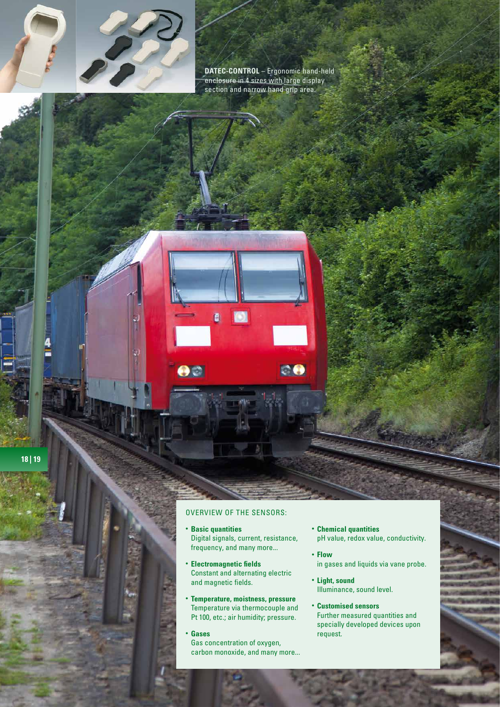

**DATEC-CONTROL** – Ergonomic hand-held enclosure in 4 sizes with large display section and narrow hand grip area.

**CO** 



## OVERVIEW OF THE SENSORS:

Ò

DC

- **· Basic quantities** Digital signals, current, resistance, frequency, and many more...
- **Electromagnetic fields** Constant and alternating electric and magnetic fields.
- <sup>l</sup> **Temperature, moistness, pressure** Temperature via thermocouple and Pt 100, etc.; air humidity; pressure.
- <sup>l</sup> **Gases** Gas concentration of oxygen, carbon monoxide, and many more...
- **Chemical quantities** pH value, redox value, conductivity.
- **Flow** in gases and liquids via vane probe.
- **· Light, sound** Illuminance, sound level.
- <sup>l</sup> **Customised sensors** Further measured quantities and specially developed devices upon request.